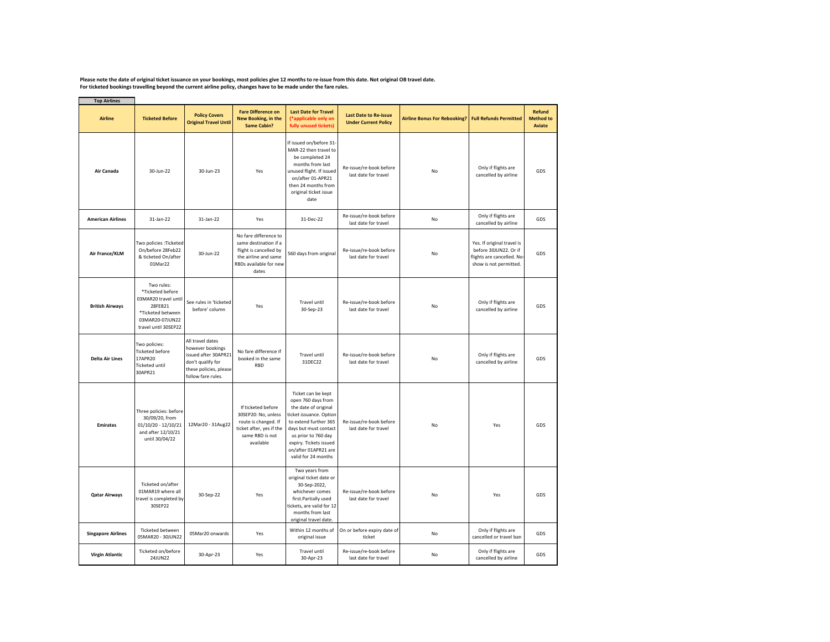Please note the date of original ticket issuance on your bookings, most policies give 12 months to re-issue from this date. Not original OB travel date.<br>For ticketed bookings travelling beyond the current airline policy, c

| <b>Top Airlines</b>       |                                                                                                                                   |                                                                                                                                   |                                                                                                                                     |                                                                                                                                                                                                                                               |                                                             |                                                     |                                                                                                            |                                             |
|---------------------------|-----------------------------------------------------------------------------------------------------------------------------------|-----------------------------------------------------------------------------------------------------------------------------------|-------------------------------------------------------------------------------------------------------------------------------------|-----------------------------------------------------------------------------------------------------------------------------------------------------------------------------------------------------------------------------------------------|-------------------------------------------------------------|-----------------------------------------------------|------------------------------------------------------------------------------------------------------------|---------------------------------------------|
| <b>Airline</b>            | <b>Ticketed Before</b>                                                                                                            | <b>Policy Covers</b><br><b>Original Travel Until</b>                                                                              | <b>Fare Difference on</b><br>New Booking, in the<br><b>Same Cabin?</b>                                                              | <b>Last Date for Travel</b><br>(*applicable only on<br>fully unused tickets)                                                                                                                                                                  | <b>Last Date to Re-issue</b><br><b>Under Current Policy</b> | Airline Bonus For Rebooking? Full Refunds Permitted |                                                                                                            | <b>Refund</b><br><b>Method to</b><br>Aviate |
| Air Canada                | 30-Jun-22                                                                                                                         | 30-Jun-23                                                                                                                         | Yes                                                                                                                                 | If issued on/before 31-<br>MAR-22 then travel to<br>be completed 24<br>months from last<br>unused flight. If issued<br>on/after 01-APR21<br>then 24 months from<br>original ticket issue<br>date                                              | Re-issue/re-book before<br>last date for travel             | No                                                  | Only if flights are<br>cancelled by airline                                                                | GDS                                         |
| <b>American Airlines</b>  | 31-Jan-22                                                                                                                         | 31-Jan-22                                                                                                                         | Yes                                                                                                                                 | 31-Dec-22                                                                                                                                                                                                                                     | Re-issue/re-book before<br>last date for travel             | No                                                  | Only if flights are<br>cancelled by airline                                                                | GDS                                         |
| Air France/KLM            | Two policies : Ticketed<br>On/before 28Feb22<br>& ticketed On/after<br>01Mar22                                                    | 30-Jun-22                                                                                                                         | No fare difference to<br>same destination if a<br>flight is cancelled by<br>the airline and same<br>RBDs available for new<br>dates | 560 days from original                                                                                                                                                                                                                        | Re-issue/re-book before<br>last date for travel             | No                                                  | Yes. If original travel is<br>before 30JUN22. Or if<br>flights are cancelled. No<br>show is not permitted. | GDS                                         |
| <b>British Airways</b>    | Two rules:<br>*Ticketed before<br>03MAR20 travel until<br>28FEB21<br>*Ticketed between<br>03MAR20-07JUN22<br>travel until 30SEP22 | See rules in 'ticketed<br>before' column                                                                                          | Yes                                                                                                                                 | <b>Travel until</b><br>30-Sep-23                                                                                                                                                                                                              | Re-issue/re-book before<br>last date for travel             | No                                                  | Only if flights are<br>cancelled by airline                                                                | GDS                                         |
| <b>Delta Air Lines</b>    | Two policies:<br><b>Ticketed before</b><br>17APR20<br><b>Ticketed until</b><br>30APR21                                            | All travel dates<br>however bookings<br>issued after 30APR21<br>don't qualify for<br>these policies, please<br>follow fare rules. | No fare difference if<br>booked in the same<br><b>RBD</b>                                                                           | Travel until<br>31DEC22                                                                                                                                                                                                                       | Re-issue/re-book before<br>last date for travel             | No                                                  | Only if flights are<br>cancelled by airline                                                                | GDS                                         |
| <b>Emirates</b>           | Three policies: before<br>30/09/20, from<br>01/10/20 - 12/10/21<br>and after 12/10/21<br>until 30/04/22                           | 12Mar20 - 31Aug22                                                                                                                 | If ticketed before<br>30SEP20: No, unless<br>route is changed. If<br>ticket after, yes if the<br>same RBD is not<br>available       | Ticket can be kept<br>open 760 days from<br>the date of original<br>ticket issuance. Option<br>to extend further 365<br>days but must contact<br>us prior to 760 day<br>expiry. Tickets issued<br>on/after 01APR21 are<br>valid for 24 months | Re-issue/re-book before<br>last date for travel             | No                                                  | Yes                                                                                                        | GDS                                         |
| <b>Qatar Airways</b>      | Ticketed on/after<br>01MAR19 where all<br>travel is completed by<br>30SEP22                                                       | 30-Sep-22                                                                                                                         | Yes                                                                                                                                 | Two years from<br>original ticket date or<br>30-Sep-2022,<br>whichever comes<br>first.Partially used<br>tickets, are valid for 12<br>months from last<br>original travel date.                                                                | Re-issue/re-book before<br>last date for travel             | No                                                  | Yes                                                                                                        | GDS                                         |
| <b>Singapore Airlines</b> | <b>Ticketed between</b><br>05MAR20 - 30JUN22                                                                                      | 05Mar20 onwards                                                                                                                   | Yes                                                                                                                                 | Within 12 months of<br>original issue                                                                                                                                                                                                         | On or before expiry date of<br>ticket                       | No                                                  | Only if flights are<br>cancelled or travel ban                                                             | GDS                                         |
| <b>Virgin Atlantic</b>    | Ticketed on/before<br>24JUN22                                                                                                     | 30-Apr-23                                                                                                                         | Yes                                                                                                                                 | <b>Travel until</b><br>30-Apr-23                                                                                                                                                                                                              | Re-issue/re-book before<br>last date for travel             | No                                                  | Only if flights are<br>cancelled by airline                                                                | GDS                                         |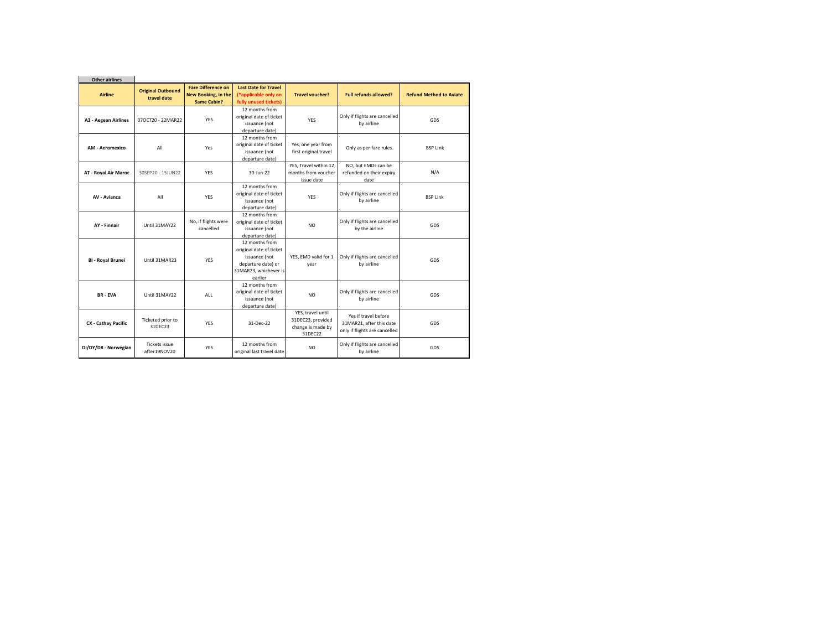| <b>Other airlines</b>       |                                         |                                                                 |                                                                                                                      |                                                                        |                                                                                   |                                |
|-----------------------------|-----------------------------------------|-----------------------------------------------------------------|----------------------------------------------------------------------------------------------------------------------|------------------------------------------------------------------------|-----------------------------------------------------------------------------------|--------------------------------|
| <b>Airline</b>              | <b>Original Outbound</b><br>travel date | <b>Fare Difference on</b><br>New Booking, in the<br>Same Cabin? | <b>Last Date for Travel</b><br>(*applicable only on<br>fully unused tickets)                                         | <b>Travel voucher?</b>                                                 | <b>Full refunds allowed?</b>                                                      | <b>Refund Method to Aviate</b> |
| <b>A3 - Aegean Airlines</b> | 070CT20 - 22MAR22                       | <b>YES</b>                                                      | 12 months from<br>original date of ticket<br>issuance (not<br>departure date)                                        | <b>YFS</b>                                                             | Only if flights are cancelled<br>by airline                                       | GDS                            |
| <b>AM - Aeromexico</b>      | All                                     | Yes                                                             | 12 months from<br>original date of ticket<br>issuance (not<br>departure date)                                        | Yes, one year from<br>first original travel                            | Only as per fare rules                                                            | <b>BSP Link</b>                |
| <b>AT - Roval Air Maroc</b> | 30SEP20 - 15JUN22                       | <b>YFS</b>                                                      | 30-lun-22                                                                                                            | YES, Travel within 12<br>months from voucher<br>issue date             | NO, but EMDs can be<br>refunded on their expiry<br>date                           | N/A                            |
| <b>AV - Avianca</b>         | All                                     | <b>YES</b>                                                      | 12 months from<br>original date of ticket<br>issuance (not<br>departure date)                                        | <b>YES</b>                                                             | Only if flights are cancelled<br>by airline                                       | <b>BSP Link</b>                |
| <b>AY - Finnair</b>         | Until 31MAY22                           | No, if flights were<br>cancelled                                | 12 months from<br>original date of ticket<br>issuance (not<br>departure date)                                        | N <sub>O</sub>                                                         | Only if flights are cancelled<br>by the airline                                   | GDS                            |
| <b>BI - Royal Brunei</b>    | Until 31MAR23                           | <b>YES</b>                                                      | 12 months from<br>original date of ticket<br>issuance (not<br>departure date) or<br>31MAR23, whichever is<br>earlier | YES. EMD valid for 1<br>year                                           | Only if flights are cancelled<br>by airline                                       | GDS                            |
| <b>BR-EVA</b>               | Until 31MAY22                           | <b>ALL</b>                                                      | 12 months from<br>original date of ticket<br>issuance (not<br>departure date)                                        | N <sub>O</sub>                                                         | Only if flights are cancelled<br>by airline                                       | GDS                            |
| CX - Cathay Pacific         | Ticketed prior to<br>31DFC23            | <b>YFS</b>                                                      | 31-Dec-22                                                                                                            | YES, travel until<br>31DEC23, provided<br>change is made by<br>31DEC22 | Yes if travel before<br>31MAR21, after this date<br>only if flights are cancelled | GDS                            |
| DI/DY/D8 - Norwegian        | Tickets issue<br>after19NOV20           | <b>YES</b>                                                      | 12 months from<br>original last travel date                                                                          | N <sub>O</sub>                                                         | Only if flights are cancelled<br>by airline                                       | GDS                            |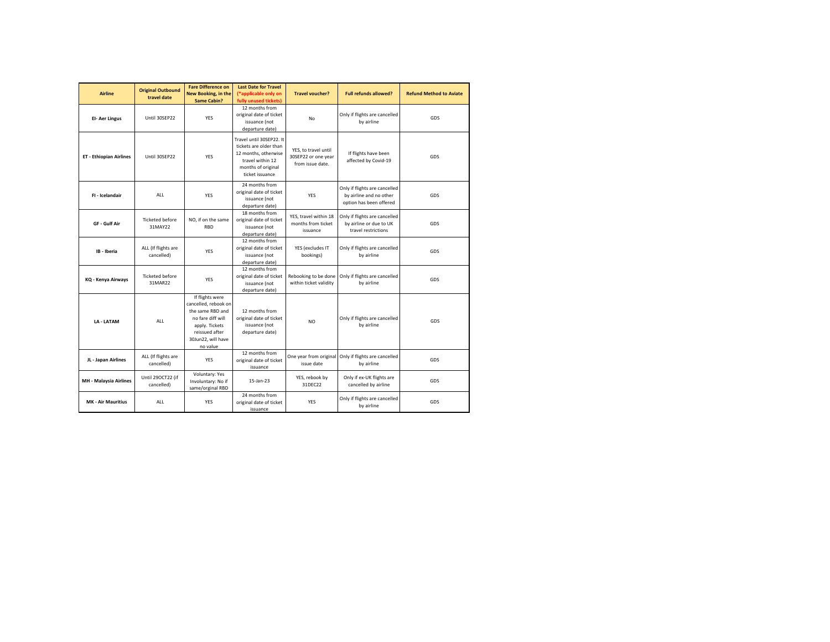| <b>Airline</b>                 | <b>Original Outbound</b><br>travel date | <b>Fare Difference on</b><br>New Booking, in the<br><b>Same Cabin?</b>                                                                                 | <b>Last Date for Travel</b><br>(*applicable only on<br>fully unused tickets)                                                            | <b>Travel voucher?</b>                                          | <b>Full refunds allowed?</b>                                                        | <b>Refund Method to Aviate</b> |
|--------------------------------|-----------------------------------------|--------------------------------------------------------------------------------------------------------------------------------------------------------|-----------------------------------------------------------------------------------------------------------------------------------------|-----------------------------------------------------------------|-------------------------------------------------------------------------------------|--------------------------------|
| El- Aer Lingus                 | Until 30SFP22                           | YES                                                                                                                                                    | 12 months from<br>original date of ticket<br>issuance (not<br>departure date)                                                           | No                                                              | Only if flights are cancelled<br>by airline                                         | GDS                            |
| <b>ET - Ethiopian Airlines</b> | Until 30SFP22                           | <b>YFS</b>                                                                                                                                             | Travel until 30SEP22. It<br>tickets are older than<br>12 months, otherwise<br>travel within 12<br>months of original<br>ticket issuance | YES, to travel until<br>30SEP22 or one year<br>from issue date. | If flights have been<br>affected by Covid-19                                        | GDS                            |
| FI - Icelandair                | ALL                                     | <b>YFS</b>                                                                                                                                             | 24 months from<br>original date of ticket<br>issuance (not<br>departure date)                                                           | <b>YES</b>                                                      | Only if flights are cancelled<br>by airline and no other<br>option has been offered | GDS                            |
| GF - Gulf Air                  | <b>Ticketed before</b><br>31MAY22       | NO, if on the same<br><b>RBD</b>                                                                                                                       | 18 months from<br>original date of ticket<br>issuance (not<br>departure date)                                                           | YES, travel within 18<br>months from ticket<br>issuance         | Only if flights are cancelled<br>by airline or due to UK<br>travel restrictions     | GDS                            |
| IB - Iberia                    | ALL (If flights are<br>cancelled)       | <b>YES</b>                                                                                                                                             | 12 months from<br>original date of ticket<br>issuance (not<br>departure date)                                                           | YES (excludes IT<br>bookings)                                   | Only if flights are cancelled<br>by airline                                         | GDS                            |
| KQ - Kenya Airways             | <b>Ticketed before</b><br>31MAR22       | YES                                                                                                                                                    | 12 months from<br>original date of ticket<br>issuance (not<br>departure date)                                                           | Rebooking to be done<br>within ticket validity                  | Only if flights are cancelled<br>by airline                                         | GDS                            |
| LA - LATAM                     | ALL                                     | If flights were<br>cancelled, rebook on<br>the same RBD and<br>no fare diff will<br>apply. Tickets<br>reissued after<br>30Jun22, will have<br>no value | 12 months from<br>original date of ticket<br>issuance (not<br>departure date)                                                           | N <sub>O</sub>                                                  | Only if flights are cancelled<br>by airline                                         | GDS                            |
| JL - Japan Airlines            | ALL (If flights are<br>cancelled)       | <b>YES</b>                                                                                                                                             | 12 months from<br>original date of ticket<br>issuance                                                                                   | One year from original<br>issue date                            | Only if flights are cancelled<br>by airline                                         | GDS                            |
| <b>MH - Malaysia Airlines</b>  | Until 290CT22 (if<br>cancelled)         | Voluntary: Yes<br>Involuntary: No if<br>same/orginal RBD                                                                                               | 15-Jan-23                                                                                                                               | YES, rebook by<br>31DEC22                                       | Only if ex-UK flights are<br>cancelled by airline                                   | GDS                            |
| <b>MK - Air Mauritius</b>      | ALL                                     | <b>YES</b>                                                                                                                                             | 24 months from<br>original date of ticket<br>issuance                                                                                   | <b>YES</b>                                                      | Only if flights are cancelled<br>by airline                                         | GDS                            |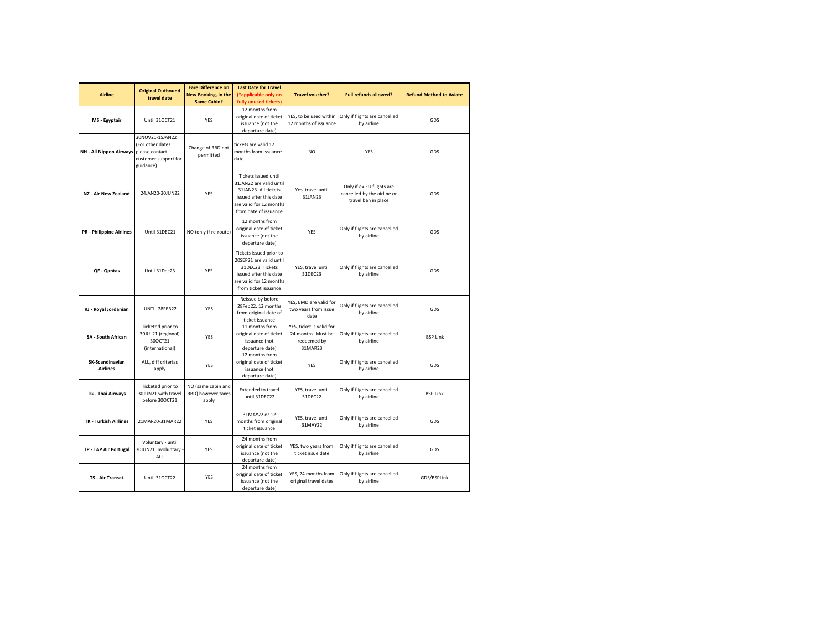| <b>Airline</b>                     | <b>Original Outbound</b><br>travel date                                                    | <b>Fare Difference on</b><br>New Booking, in the<br><b>Same Cabin?</b> | <b>Last Date for Travel</b><br>(*applicable only on<br>fully unused tickets)                                                                          | <b>Travel voucher?</b>                                                   | <b>Full refunds allowed?</b>                                                    | <b>Refund Method to Aviate</b> |
|------------------------------------|--------------------------------------------------------------------------------------------|------------------------------------------------------------------------|-------------------------------------------------------------------------------------------------------------------------------------------------------|--------------------------------------------------------------------------|---------------------------------------------------------------------------------|--------------------------------|
| MS - Egyptair                      | Until 310CT21                                                                              | YES                                                                    | 12 months from<br>original date of ticket<br>issuance (not the<br>departure date)                                                                     | YES, to be used within<br>12 months of issuance                          | Only if flights are cancelled<br>by airline                                     | GDS                            |
| NH - All Nippon Airways            | 30NOV21-15JAN22<br>(For other dates<br>please contact<br>customer support for<br>guidance) | Change of RBD not<br>permitted                                         | tickets are valid 12<br>months from issuance<br>date                                                                                                  | NO                                                                       | <b>YES</b>                                                                      | GDS                            |
| NZ - Air New Zealand               | 24JAN20-30JUN22                                                                            | <b>YES</b>                                                             | Tickets issued until<br>31JAN22 are valid until<br>31JAN23. All tickets<br>issued after this date<br>are valid for 12 months<br>from date of issuance | Yes, travel until<br>31JAN23                                             | Only if ex EU flights are<br>cancelled by the airline or<br>travel ban in place | GDS                            |
| <b>PR - Philippine Airlines</b>    | Until 31DEC21                                                                              | NO (only if re-route)                                                  | 12 months from<br>original date of ticket<br>issuance (not the<br>departure date)                                                                     | <b>YES</b>                                                               | Only if flights are cancelled<br>by airline                                     | GDS                            |
| <b>QF - Qantas</b>                 | Until 31Dec23                                                                              | YES                                                                    | Tickets issued prior to<br>20SEP21 are valid until<br>31DEC23. Tickets<br>issued after this date<br>are valid for 12 months<br>from ticket issuance   | YES, travel until<br>31DEC23                                             | Only if flights are cancelled<br>by airline                                     | GDS                            |
| RJ - Royal Jordanian               | UNTIL 28FEB22                                                                              | <b>YES</b>                                                             | Reissue by before<br>28Feb22. 12 months<br>from original date of<br>ticket issuance                                                                   | YES, EMD are valid for<br>two years from issue<br>date                   | Only if flights are cancelled<br>by airline                                     | GDS                            |
| <b>SA - South African</b>          | Ticketed prior to<br>30JUL21 (regional)<br>30OCT21<br>(international)                      | YES                                                                    | 11 months from<br>original date of ticket<br>issuance (not<br>departure date)                                                                         | YES, ticket is valid for<br>24 months. Must be<br>redeemed by<br>31MAR23 | Only if flights are cancelled<br>by airline                                     | <b>BSP Link</b>                |
| SK-Scandinavian<br><b>Airlines</b> | ALL, diff criterias<br>apply                                                               | YES                                                                    | 12 months from<br>original date of ticket<br>issuance (not<br>departure date)                                                                         | YES                                                                      | Only if flights are cancelled<br>by airline                                     | GDS                            |
| TG - Thai Airways                  | Ticketed prior to<br>30JUN21 with travel<br>before 30OCT21                                 | NO (same cabin and<br>RBD) however taxes<br>apply                      | <b>Extended to travel</b><br>until 31DEC22                                                                                                            | YES, travel until<br>31DEC22                                             | Only if flights are cancelled<br>by airline                                     | <b>BSP Link</b>                |
| <b>TK - Turkish Airlines</b>       | 21MAR20-31MAR22                                                                            | <b>YES</b>                                                             | 31MAY22 or 12<br>months from original<br>ticket issuance                                                                                              | YES, travel until<br>31MAY22                                             | Only if flights are cancelled<br>by airline                                     | GDS                            |
| TP - TAP Air Portugal              | Voluntary - until<br>30JUN21 Involuntary<br>ALL                                            | <b>YES</b>                                                             | 24 months from<br>original date of ticket<br>issuance (not the<br>departure date)                                                                     | YES, two years from<br>ticket issue date                                 | Only if flights are cancelled<br>by airline                                     | GDS                            |
| <b>TS - Air Transat</b>            | Until 31OCT22                                                                              | YES                                                                    | 24 months from<br>original date of ticket<br>issuance (not the<br>departure date)                                                                     | YES, 24 months from<br>original travel dates                             | Only if flights are cancelled<br>by airline                                     | GDS/BSPLink                    |